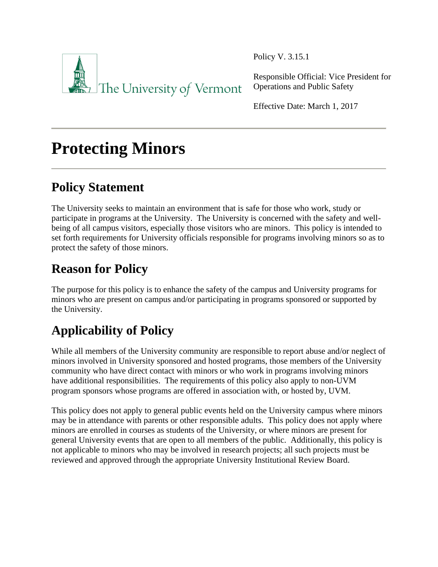

Policy V. 3.15.1

Responsible Official: Vice President for Operations and Public Safety

Effective Date: March 1, 2017

# **Protecting Minors**

# **Policy Statement**

The University seeks to maintain an environment that is safe for those who work, study or participate in programs at the University. The University is concerned with the safety and wellbeing of all campus visitors, especially those visitors who are minors. This policy is intended to set forth requirements for University officials responsible for programs involving minors so as to protect the safety of those minors.

# **Reason for Policy**

The purpose for this policy is to enhance the safety of the campus and University programs for minors who are present on campus and/or participating in programs sponsored or supported by the University.

# **Applicability of Policy**

While all members of the University community are responsible to report abuse and/or neglect of minors involved in University sponsored and hosted programs, those members of the University community who have direct contact with minors or who work in programs involving minors have additional responsibilities. The requirements of this policy also apply to non-UVM program sponsors whose programs are offered in association with, or hosted by, UVM.

This policy does not apply to general public events held on the University campus where minors may be in attendance with parents or other responsible adults. This policy does not apply where minors are enrolled in courses as students of the University, or where minors are present for general University events that are open to all members of the public. Additionally, this policy is not applicable to minors who may be involved in research projects; all such projects must be reviewed and approved through the appropriate University Institutional Review Board.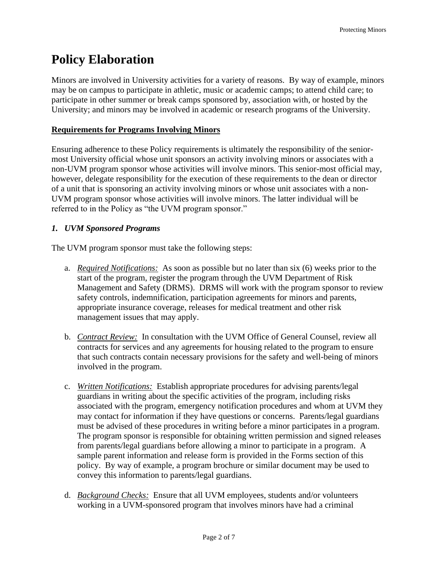# **Policy Elaboration**

Minors are involved in University activities for a variety of reasons. By way of example, minors may be on campus to participate in athletic, music or academic camps; to attend child care; to participate in other summer or break camps sponsored by, association with, or hosted by the University; and minors may be involved in academic or research programs of the University.

#### **Requirements for Programs Involving Minors**

Ensuring adherence to these Policy requirements is ultimately the responsibility of the seniormost University official whose unit sponsors an activity involving minors or associates with a non-UVM program sponsor whose activities will involve minors. This senior-most official may, however, delegate responsibility for the execution of these requirements to the dean or director of a unit that is sponsoring an activity involving minors or whose unit associates with a non-UVM program sponsor whose activities will involve minors. The latter individual will be referred to in the Policy as "the UVM program sponsor."

#### *1. UVM Sponsored Programs*

The UVM program sponsor must take the following steps:

- a. *Required Notifications:* As soon as possible but no later than six (6) weeks prior to the start of the program, register the program through the UVM Department of Risk Management and Safety (DRMS). DRMS will work with the program sponsor to review safety controls, indemnification, participation agreements for minors and parents, appropriate insurance coverage, releases for medical treatment and other risk management issues that may apply.
- b. *Contract Review:* In consultation with the UVM Office of General Counsel, review all contracts for services and any agreements for housing related to the program to ensure that such contracts contain necessary provisions for the safety and well-being of minors involved in the program.
- c. *Written Notifications:* Establish appropriate procedures for advising parents/legal guardians in writing about the specific activities of the program, including risks associated with the program, emergency notification procedures and whom at UVM they may contact for information if they have questions or concerns. Parents/legal guardians must be advised of these procedures in writing before a minor participates in a program. The program sponsor is responsible for obtaining written permission and signed releases from parents/legal guardians before allowing a minor to participate in a program. A sample parent information and release form is provided in the Forms section of this policy. By way of example, a program brochure or similar document may be used to convey this information to parents/legal guardians.
- d. *Background Checks:* Ensure that all UVM employees, students and/or volunteers working in a UVM-sponsored program that involves minors have had a criminal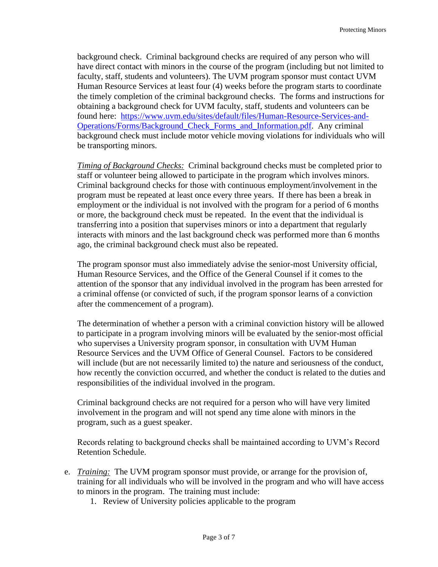background check. Criminal background checks are required of any person who will have direct contact with minors in the course of the program (including but not limited to faculty, staff, students and volunteers). The UVM program sponsor must contact UVM Human Resource Services at least four (4) weeks before the program starts to coordinate the timely completion of the criminal background checks. The forms and instructions for obtaining a background check for UVM faculty, staff, students and volunteers can be found here: [https://www.uvm.edu/sites/default/files/Human-Resource-Services-and-](https://www.uvm.edu/sites/default/files/Human-Resource-Services-and-Operations/Forms/Background_Check_Forms_and_Information.pdf)[Operations/Forms/Background\\_Check\\_Forms\\_and\\_Information.pdf.](https://www.uvm.edu/sites/default/files/Human-Resource-Services-and-Operations/Forms/Background_Check_Forms_and_Information.pdf) Any criminal background check must include motor vehicle moving violations for individuals who will be transporting minors.

*Timing of Background Checks:* Criminal background checks must be completed prior to staff or volunteer being allowed to participate in the program which involves minors. Criminal background checks for those with continuous employment/involvement in the program must be repeated at least once every three years. If there has been a break in employment or the individual is not involved with the program for a period of 6 months or more, the background check must be repeated. In the event that the individual is transferring into a position that supervises minors or into a department that regularly interacts with minors and the last background check was performed more than 6 months ago, the criminal background check must also be repeated.

The program sponsor must also immediately advise the senior-most University official, Human Resource Services, and the Office of the General Counsel if it comes to the attention of the sponsor that any individual involved in the program has been arrested for a criminal offense (or convicted of such, if the program sponsor learns of a conviction after the commencement of a program).

The determination of whether a person with a criminal conviction history will be allowed to participate in a program involving minors will be evaluated by the senior-most official who supervises a University program sponsor, in consultation with UVM Human Resource Services and the UVM Office of General Counsel. Factors to be considered will include (but are not necessarily limited to) the nature and seriousness of the conduct, how recently the conviction occurred, and whether the conduct is related to the duties and responsibilities of the individual involved in the program.

Criminal background checks are not required for a person who will have very limited involvement in the program and will not spend any time alone with minors in the program, such as a guest speaker.

Records relating to background checks shall be maintained according to UVM's Record Retention Schedule.

- e. *Training:* The UVM program sponsor must provide, or arrange for the provision of, training for all individuals who will be involved in the program and who will have access to minors in the program. The training must include:
	- 1. Review of University policies applicable to the program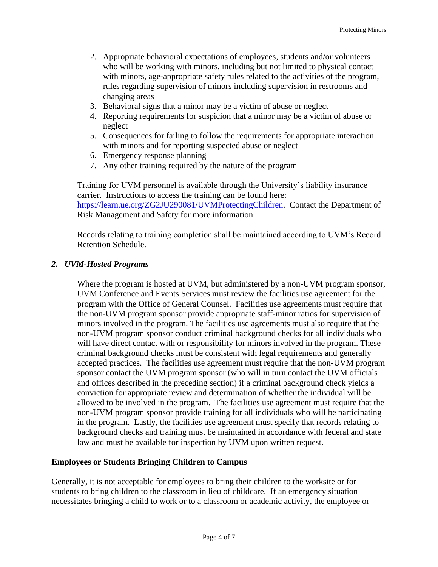- 2. Appropriate behavioral expectations of employees, students and/or volunteers who will be working with minors, including but not limited to physical contact with minors, age-appropriate safety rules related to the activities of the program, rules regarding supervision of minors including supervision in restrooms and changing areas
- 3. Behavioral signs that a minor may be a victim of abuse or neglect
- 4. Reporting requirements for suspicion that a minor may be a victim of abuse or neglect
- 5. Consequences for failing to follow the requirements for appropriate interaction with minors and for reporting suspected abuse or neglect
- 6. Emergency response planning
- 7. Any other training required by the nature of the program

Training for UVM personnel is available through the University's liability insurance carrier. Instructions to access the training can be found here: [https://learn.ue.org/ZG2JU290081/UVMProtectingChildren.](https://learn.ue.org/ZG2JU290081/UVMProtectingChildren) Contact the Department of Risk Management and Safety for more information.

Records relating to training completion shall be maintained according to UVM's Record Retention Schedule.

#### *2. UVM-Hosted Programs*

Where the program is hosted at UVM, but administered by a non-UVM program sponsor, UVM Conference and Events Services must review the facilities use agreement for the program with the Office of General Counsel. Facilities use agreements must require that the non-UVM program sponsor provide appropriate staff-minor ratios for supervision of minors involved in the program. The facilities use agreements must also require that the non-UVM program sponsor conduct criminal background checks for all individuals who will have direct contact with or responsibility for minors involved in the program. These criminal background checks must be consistent with legal requirements and generally accepted practices. The facilities use agreement must require that the non-UVM program sponsor contact the UVM program sponsor (who will in turn contact the UVM officials and offices described in the preceding section) if a criminal background check yields a conviction for appropriate review and determination of whether the individual will be allowed to be involved in the program. The facilities use agreement must require that the non-UVM program sponsor provide training for all individuals who will be participating in the program. Lastly, the facilities use agreement must specify that records relating to background checks and training must be maintained in accordance with federal and state law and must be available for inspection by UVM upon written request.

#### **Employees or Students Bringing Children to Campus**

Generally, it is not acceptable for employees to bring their children to the worksite or for students to bring children to the classroom in lieu of childcare. If an emergency situation necessitates bringing a child to work or to a classroom or academic activity, the employee or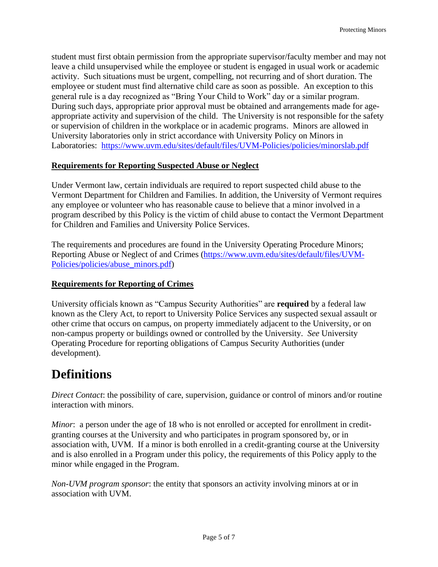student must first obtain permission from the appropriate supervisor/faculty member and may not leave a child unsupervised while the employee or student is engaged in usual work or academic activity. Such situations must be urgent, compelling, not recurring and of short duration. The employee or student must find alternative child care as soon as possible. An exception to this general rule is a day recognized as "Bring Your Child to Work" day or a similar program. During such days, appropriate prior approval must be obtained and arrangements made for ageappropriate activity and supervision of the child. The University is not responsible for the safety or supervision of children in the workplace or in academic programs. Minors are allowed in University laboratories only in strict accordance with University Policy on Minors in Laboratories: <https://www.uvm.edu/sites/default/files/UVM-Policies/policies/minorslab.pdf>

#### **Requirements for Reporting Suspected Abuse or Neglect**

Under Vermont law, certain individuals are required to report suspected child abuse to the Vermont Department for Children and Families. In addition, the University of Vermont requires any employee or volunteer who has reasonable cause to believe that a minor involved in a program described by this Policy is the victim of child abuse to contact the Vermont Department for Children and Families and University Police Services.

The requirements and procedures are found in the University Operating Procedure Minors; Reporting Abuse or Neglect of and Crimes [\(https://www.uvm.edu/sites/default/files/UVM-](https://www.uvm.edu/sites/default/files/UVM-Policies/policies/abuse_minors.pdf)[Policies/policies/abuse\\_minors.pdf\)](https://www.uvm.edu/sites/default/files/UVM-Policies/policies/abuse_minors.pdf)

#### **Requirements for Reporting of Crimes**

University officials known as "Campus Security Authorities" are **required** by a federal law known as the Clery Act, to report to University Police Services any suspected sexual assault or other crime that occurs on campus, on property immediately adjacent to the University, or on non-campus property or buildings owned or controlled by the University. *See* University Operating Procedure for reporting obligations of Campus Security Authorities (under development).

### **Definitions**

*Direct Contact*: the possibility of care, supervision, guidance or control of minors and/or routine interaction with minors.

*Minor*: a person under the age of 18 who is not enrolled or accepted for enrollment in creditgranting courses at the University and who participates in program sponsored by, or in association with, UVM. If a minor is both enrolled in a credit-granting course at the University and is also enrolled in a Program under this policy, the requirements of this Policy apply to the minor while engaged in the Program.

*Non-UVM program sponsor*: the entity that sponsors an activity involving minors at or in association with UVM.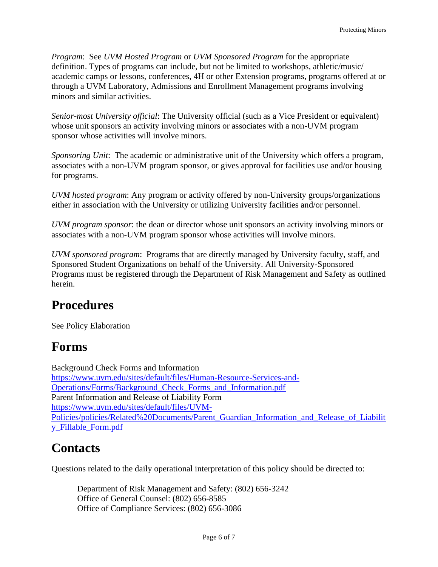*Program*: See *UVM Hosted Program* or *UVM Sponsored Program* for the appropriate definition. Types of programs can include, but not be limited to workshops, athletic/music/ academic camps or lessons, conferences, 4H or other Extension programs, programs offered at or through a UVM Laboratory, Admissions and Enrollment Management programs involving minors and similar activities.

*Senior-most University official*: The University official (such as a Vice President or equivalent) whose unit sponsors an activity involving minors or associates with a non-UVM program sponsor whose activities will involve minors.

*Sponsoring Unit*: The academic or administrative unit of the University which offers a program, associates with a non-UVM program sponsor, or gives approval for facilities use and/or housing for programs.

*UVM hosted program*: Any program or activity offered by non-University groups/organizations either in association with the University or utilizing University facilities and/or personnel.

*UVM program sponsor*: the dean or director whose unit sponsors an activity involving minors or associates with a non-UVM program sponsor whose activities will involve minors.

*UVM sponsored program*: Programs that are directly managed by University faculty, staff, and Sponsored Student Organizations on behalf of the University. All University-Sponsored Programs must be registered through the Department of Risk Management and Safety as outlined herein.

### **Procedures**

See Policy Elaboration

### **Forms**

Background Check Forms and Information [https://www.uvm.edu/sites/default/files/Human-Resource-Services-and-](https://www.uvm.edu/sites/default/files/Human-Resource-Services-and-Operations/Forms/Background_Check_Forms_and_Information.pdf)[Operations/Forms/Background\\_Check\\_Forms\\_and\\_Information.pdf](https://www.uvm.edu/sites/default/files/Human-Resource-Services-and-Operations/Forms/Background_Check_Forms_and_Information.pdf) Parent Information and Release of Liability Form [https://www.uvm.edu/sites/default/files/UVM-](https://www.uvm.edu/sites/default/files/UVM-Policies/policies/Related%20Documents/Parent_Guardian_Information_and_Release_of_Liability_Fillable_Form.pdf)[Policies/policies/Related%20Documents/Parent\\_Guardian\\_Information\\_and\\_Release\\_of\\_Liabilit](https://www.uvm.edu/sites/default/files/UVM-Policies/policies/Related%20Documents/Parent_Guardian_Information_and_Release_of_Liability_Fillable_Form.pdf) [y\\_Fillable\\_Form.pdf](https://www.uvm.edu/sites/default/files/UVM-Policies/policies/Related%20Documents/Parent_Guardian_Information_and_Release_of_Liability_Fillable_Form.pdf)

# **Contacts**

Questions related to the daily operational interpretation of this policy should be directed to:

Department of Risk Management and Safety: (802) 656-3242 Office of General Counsel: (802) 656-8585 Office of Compliance Services: (802) 656-3086